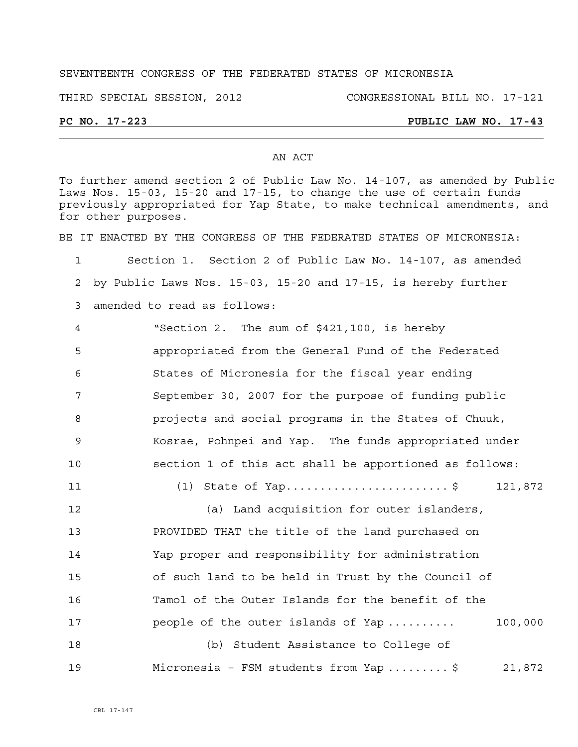## SEVENTEENTH CONGRESS OF THE FEDERATED STATES OF MICRONESIA

THIRD SPECIAL SESSION, 2012 CONGRESSIONAL BILL NO. 17-121

## **PC NO. 17-223 PUBLIC LAW NO. 17-43**

#### AN ACT

To further amend section 2 of Public Law No. 14-107, as amended by Public Laws Nos. 15-03, 15-20 and 17-15, to change the use of certain funds previously appropriated for Yap State, to make technical amendments, and for other purposes.

BE IT ENACTED BY THE CONGRESS OF THE FEDERATED STATES OF MICRONESIA:

1 Section 1. Section 2 of Public Law No. 14-107, as amended 2 by Public Laws Nos. 15-03, 15-20 and 17-15, is hereby further 3 amended to read as follows:

| 4   | "Section 2. The sum of \$421,100, is hereby            |
|-----|--------------------------------------------------------|
| -5  | appropriated from the General Fund of the Federated    |
| 6   | States of Micronesia for the fiscal year ending        |
| 7   | September 30, 2007 for the purpose of funding public   |
| 8   | projects and social programs in the States of Chuuk,   |
| - 9 | Kosrae, Pohnpei and Yap. The funds appropriated under  |
| 10  | section 1 of this act shall be apportioned as follows: |

11 (1) State of Yap...........................\$ 121,872

12 (a) Land acquisition for outer islanders, 13 PROVIDED THAT the title of the land purchased on 14 Yap proper and responsibility for administration 15 of such land to be held in Trust by the Council of 16 Tamol of the Outer Islands for the benefit of the 17 **people of the outer islands of Yap ..........** 100,000 18 (b) Student Assistance to College of 19 Micronesia – FSM students from Yap ......... \$ 21,872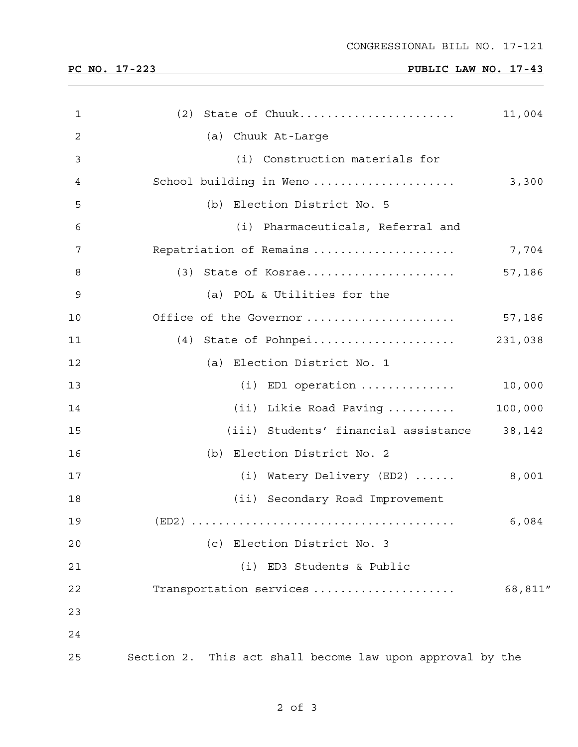# **PC NO. 17-223 PUBLIC LAW NO. 17-43**

| $\mathbf 1$ | (2) State of Chuuk                                        | 11,004  |
|-------------|-----------------------------------------------------------|---------|
| 2           | (a) Chuuk At-Large                                        |         |
| 3           | (i) Construction materials for                            |         |
| 4           | School building in Weno                                   | 3,300   |
| 5           | (b) Election District No. 5                               |         |
| 6           | (i) Pharmaceuticals, Referral and                         |         |
| 7           | Repatriation of Remains                                   | 7,704   |
| 8           |                                                           | 57,186  |
| 9           | (a) POL & Utilities for the                               |         |
| 10          | Office of the Governor                                    | 57,186  |
| 11          |                                                           |         |
| 12          | (a) Election District No. 1                               |         |
| 13          | $(i)$ ED1 operation                                       | 10,000  |
| 14          | (ii) Likie Road Paving                                    | 100,000 |
| 15          | (iii) Students' financial assistance 38,142               |         |
| 16          | (b) Election District No. 2                               |         |
| 17          | (i) Watery Delivery (ED2)                                 | 8,001   |
| 18          | (ii) Secondary Road Improvement                           |         |
| 19          |                                                           | 6,084   |
| 20          | (c) Election District No. 3                               |         |
| 21          | (i) ED3 Students & Public                                 |         |
| 22          | Transportation services                                   | 68,811" |
| 23          |                                                           |         |
| 24          |                                                           |         |
| 25          | Section 2. This act shall become law upon approval by the |         |